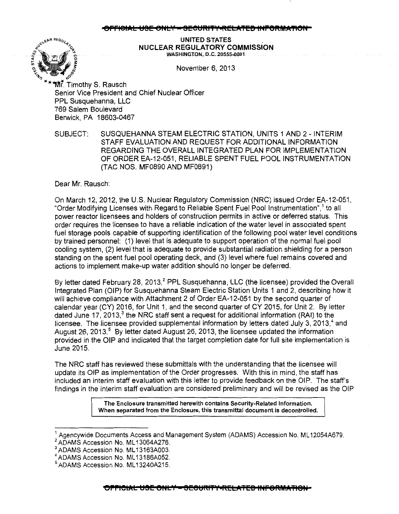## 8<del>IAL USE ONLY = SECURITY•RELATED INFORMA</del>'



UNITED STATES . NUCLEAR REGULATORY COMMISSION WASHINGTON, D.C. 20555-0001

November 6, 2013

Mr. Timothy S. Rausch Senior Vice President and Chief Nuclear Officer PPL Susquehanna, LLC 769 Salem Boulevard Berwick, PA 18603-0467

SUBJECT: SUSQUEHANNA STEAM ELECTRIC STATION, UNITS 1 AND 2- INTERIM STAFF EVALUATION AND REQUEST FOR ADDITIONAL INFORMATION REGARDING THE OVERALL INTEGRATED PLAN FOR IMPLEMENTATION OF ORDER EA-12-051, RELIABLE SPENT FUEL POOL INSTRUMENTATION {TAC NOS. MF0890 AND MF0891)

Dear Mr. Rausch:

On March 12, 2012, the U.S. Nuclear Regulatory Commission (NRC) issued Order EA-12-051, "Order Modifying Licenses with Regard to Reliable Spent Fuel Pool Instrumentation",<sup>1</sup> to all power reactor licensees and holders of construction permits in active or deferred status. This order requires the licensee to have a reliable indication of the water level in associated spent fuel storage pools capable of supporting identification of the following pool water level conditions by trained personnel: (1) level that is adequate to support operation of the normal fuel pool cooling system, (2) level that is adequate to provide substantial radiation shielding for a person standing on the spent fuel pool operating deck, and (3) level where fuel remains covered and actions to implement make-up water addition should no longer be deferred.

By letter dated February 28, 2013,<sup>2</sup> PPL Susquehanna, LLC (the licensee) provided the Overall Integrated Plan (OIP) for Susquehanna Steam Electric Station Units 1 and 2, describing how it will achieve compliance with Attachment 2 of Order EA-12-051 by the second quarter of calendar year (CY) 2016, for Unit 1, and the second quarter of CY 2015, for Unit 2. By letter dated June 17, 2013, $3$  the NRC staff sent a request for additional information (RAI) to the licensee. The licensee provided supplemental information by letters dated July 3, 2013, $4$  and August 26, 2013.<sup>5</sup> By letter dated August 26, 2013, the licensee updated the information provided in the OIP and indicated that the target completion date for full site implementation is June 2015.

The NRC staff has reviewed these submittals with the understanding that the licensee will update its OIP as implementation of the Order progresses. With this in mind, the staff has included an interim staff evaluation with this letter to provide feedback on the OIP. The staff's findings in the interim staff evaluation are considered preliminary and will be revised as the OIP

> The Enclosure transmitted herewith contains Security-Related Information. When separated from the Enclosure, this transmittal document is decontrolled.

Agencywide Documents Access and Management System (ADAMS) Accession No. ML12054A679.

<sup>&</sup>lt;sup>2</sup> ADAMS Accession No. ML13064A276.<br><sup>3</sup> ADAMS Accession No. ML13163A003.

<sup>&</sup>lt;sup>4</sup> ADAMS Accession No. ML13186A052.

 $^5$ ADAMS Accession No. ML13240A215.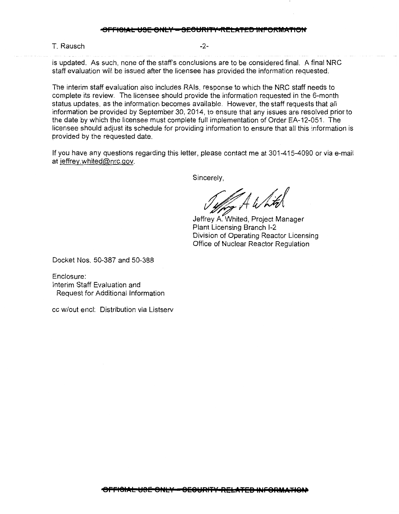T. Rausch and the contract of the contract of the contract of the contract of the contract of the contract of the contract of the contract of the contract of the contract of the contract of the contract of the contract of

is updated. As such, none of the staff's conclusions are to be considered final. A final NRC staff evaluation will be issued after the licensee has provided the information requested.

The interim staff evaluation also includes RAis, response to which the NRC staff needs to complete its review. The licensee should provide the information requested in the 6-month status updates, as the information becomes available. However, the staff requests that all information be provided by September 30, 2014, to ensure that any issues are resolved prior to the date by which the licensee must complete full implementation of Order EA-12-051. The licensee should adjust its schedule for providing information to ensure that all this information is provided by the requested date.

If you have any questions regarding this letter, please contact me at 301-415-4090 or via e-mail at jeffrey.whited@nrc.gov.

Sincerely,

Juffrey A White<br>Jeffrey A. Whited, Project Manager

Plant Licensing Branch 1-2 Division of Operating Reactor Licensing Office of Nuclear Reactor Regulation

Docket Nos. 50-387 and 50-388

Enclosure: Interim Staff Evaluation and Request for Additional Information

cc w/out encl: Distribution via Listserv